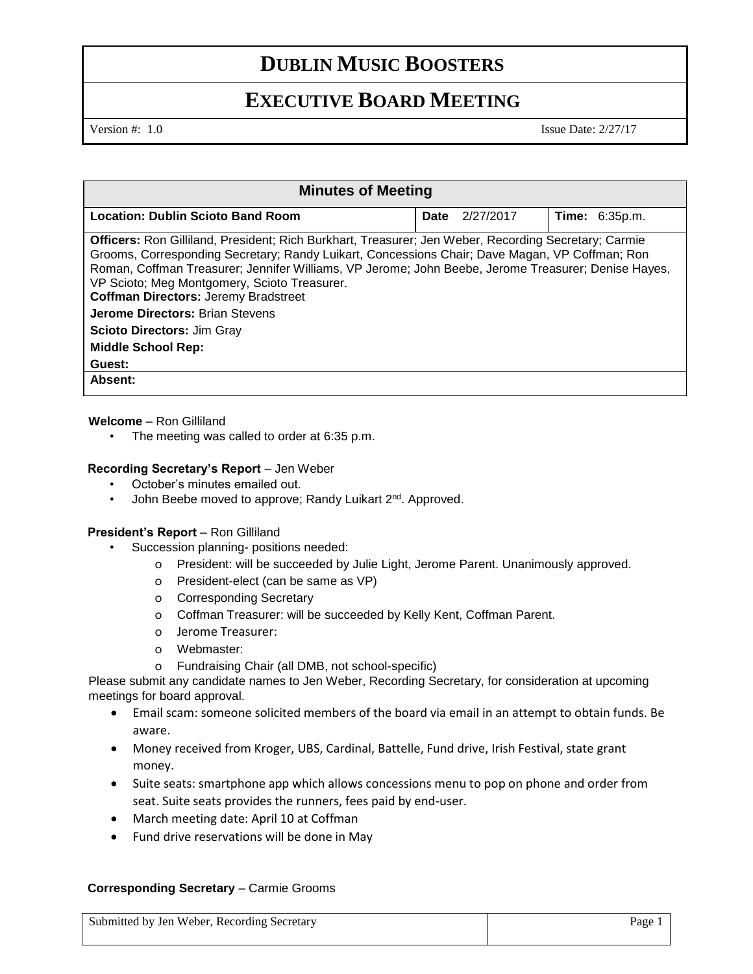# **DUBLIN MUSIC BOOSTERS**

# **EXECUTIVE BOARD MEETING**

Version #: 1.0 Issue Date: 2/27/17

| <b>Minutes of Meeting</b>                                                                                                                                                                                                                                                                                                                                                                                                                                                                                                                 |                          |                       |
|-------------------------------------------------------------------------------------------------------------------------------------------------------------------------------------------------------------------------------------------------------------------------------------------------------------------------------------------------------------------------------------------------------------------------------------------------------------------------------------------------------------------------------------------|--------------------------|-----------------------|
| <b>Location: Dublin Scioto Band Room</b>                                                                                                                                                                                                                                                                                                                                                                                                                                                                                                  | 2/27/2017<br><b>Date</b> | <b>Time: 6:35p.m.</b> |
| <b>Officers:</b> Ron Gilliland, President; Rich Burkhart, Treasurer; Jen Weber, Recording Secretary; Carmie<br>Grooms, Corresponding Secretary; Randy Luikart, Concessions Chair; Dave Magan, VP Coffman; Ron<br>Roman, Coffman Treasurer; Jennifer Williams, VP Jerome; John Beebe, Jerome Treasurer; Denise Hayes,<br>VP Scioto; Meg Montgomery, Scioto Treasurer.<br><b>Coffman Directors: Jeremy Bradstreet</b><br><b>Jerome Directors: Brian Stevens</b><br><b>Scioto Directors: Jim Gray</b><br><b>Middle School Rep:</b><br>Guest: |                          |                       |
| Absent:                                                                                                                                                                                                                                                                                                                                                                                                                                                                                                                                   |                          |                       |

### **Welcome** – Ron Gilliland

• The meeting was called to order at 6:35 p.m.

### **Recording Secretary's Report** – Jen Weber

- October's minutes emailed out.
- John Beebe moved to approve; Randy Luikart 2<sup>nd</sup>. Approved.

### **President's Report** – Ron Gilliland

- Succession planning- positions needed:
	- o President: will be succeeded by Julie Light, Jerome Parent. Unanimously approved.
	- o President-elect (can be same as VP)
	- o Corresponding Secretary
	- o Coffman Treasurer: will be succeeded by Kelly Kent, Coffman Parent.
	- o Jerome Treasurer:
	- o Webmaster:
	- o Fundraising Chair (all DMB, not school-specific)

Please submit any candidate names to Jen Weber, Recording Secretary, for consideration at upcoming meetings for board approval.

- Email scam: someone solicited members of the board via email in an attempt to obtain funds. Be aware.
- Money received from Kroger, UBS, Cardinal, Battelle, Fund drive, Irish Festival, state grant money.
- Suite seats: smartphone app which allows concessions menu to pop on phone and order from seat. Suite seats provides the runners, fees paid by end-user.
- March meeting date: April 10 at Coffman
- Fund drive reservations will be done in May

### **Corresponding Secretary** – Carmie Grooms

Submitted by Jen Weber, Recording Secretary Page 1